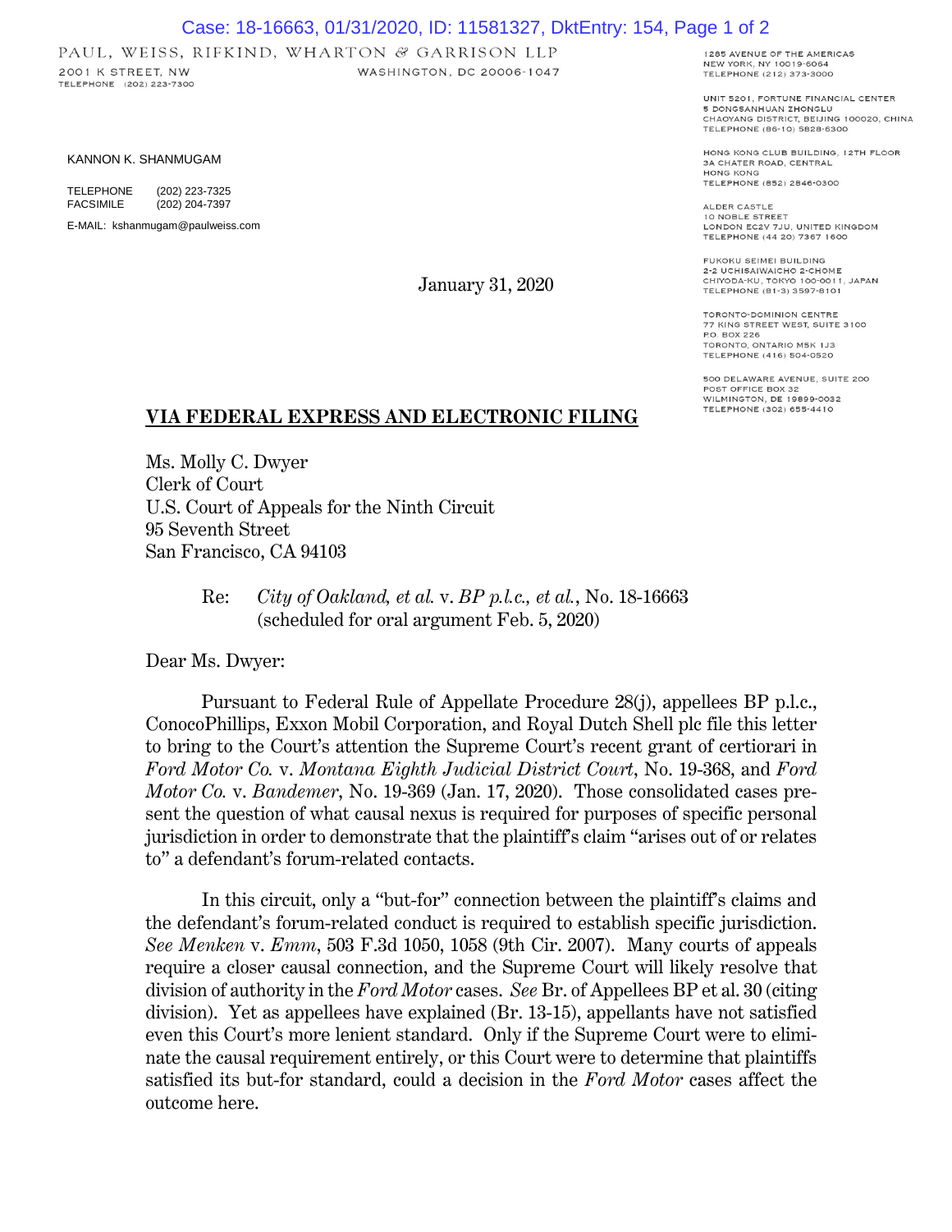## Case: 18-16663, 01/31/2020, ID: 11581327, DktEntry: 154, Page 1 of 2

WASHINGTON, DC 20006-1047

PAUL, WEISS, RIFKIND, WHARTON & GARRISON LLP 2001 K STREET, NW TELEPHONE (202) 223-7300

KANNON K. SHANMUGAM

TELEPHONE (202) 223-7325<br>FACSIMILE (202) 204-7397 (202) 204-7397

E-MAIL: kshanmugam@paulweiss.com

January 31, 2020

1285 AVENUE OF THE AMERICAS NEW YORK, NY 10019-6064 TELEPHONE (212) 373-3000

UNIT 5201. FORTUNE FINANCIAL CENTER 5 DONGSANHUAN ZHONGLU CHAOYANG DISTRICT, BEIJING 100020, CHINA TELEPHONE (86-10) 5828-6300

HONG KONG CLUB BUILDING, 12TH FLOOR 3A CHATER ROAD, CENTRAL HONG KONG TELEPHONE (852) 2846-0300

ALDER CASTLE 10 NOBLE STREET<br>LONDON EC2V 7JU, UNITED KINGDOM TELEPHONE (44 20) 7367 1600

FUKOKU SEIMEI BUILDING 2-2 UCHISAIWAICHO 2-CHOME<br>CHIYODA-KU, TOKYO 100-0011, JAPAN TELEPHONE (81-3) 3597-8101

TORONTO-DOMINION CENTRE 77 KING STREET WEST, SUITE 3100 P.O. BOX 226 TORONTO, ONTARIO M5K 1J3 TELEPHONE (416) 504-0520

500 DELAWARE AVENUE, SUITE 200 POST OFFICE BOX 32<br>WILMINGTON, DE 19899-0032 TELEPHONE (302) 655-4410

## **VIA FEDERAL EXPRESS AND ELECTRONIC FILING**

Ms. Molly C. Dwyer Clerk of Court U.S. Court of Appeals for the Ninth Circuit 95 Seventh Street San Francisco, CA 94103

> Re: *City of Oakland, et al.* v. *BP p.l.c., et al.*, No. 18-16663 (scheduled for oral argument Feb. 5, 2020)

Dear Ms. Dwyer:

Pursuant to Federal Rule of Appellate Procedure 28(j), appellees BP p.l.c., ConocoPhillips, Exxon Mobil Corporation, and Royal Dutch Shell plc file this letter to bring to the Court's attention the Supreme Court's recent grant of certiorari in *Ford Motor Co.* v. *Montana Eighth Judicial District Court*, No. 19-368, and *Ford Motor Co.* v. *Bandemer*, No. 19-369 (Jan. 17, 2020). Those consolidated cases present the question of what causal nexus is required for purposes of specific personal jurisdiction in order to demonstrate that the plaintiff's claim "arises out of or relates to" a defendant's forum-related contacts.

In this circuit, only a "but-for" connection between the plaintiff's claims and the defendant's forum-related conduct is required to establish specific jurisdiction. *See Menken* v. *Emm*, 503 F.3d 1050, 1058 (9th Cir. 2007). Many courts of appeals require a closer causal connection, and the Supreme Court will likely resolve that division of authority in the *Ford Motor* cases. *See* Br. of Appellees BP et al. 30 (citing division). Yet as appellees have explained (Br. 13-15), appellants have not satisfied even this Court's more lenient standard. Only if the Supreme Court were to eliminate the causal requirement entirely, or this Court were to determine that plaintiffs satisfied its but-for standard, could a decision in the *Ford Motor* cases affect the outcome here.